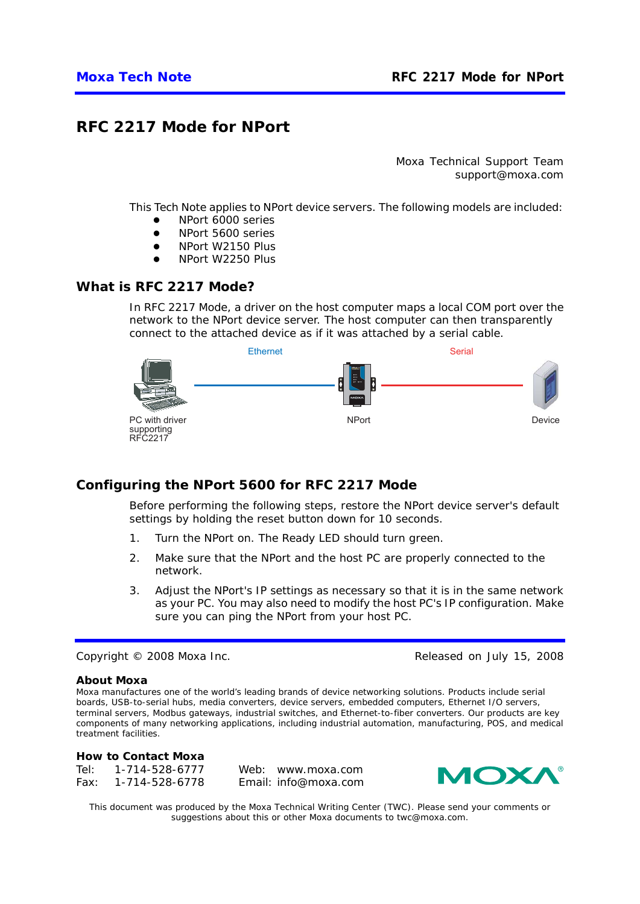# **RFC 2217 Mode for NPort**

*Moxa Technical Support Team support@moxa.com* 

This Tech Note applies to NPort device servers. The following models are included:

- NPort 6000 series
- NPort 5600 series
- NPort W2150 Plus
- NPort W2250 Plus

### *What is RFC 2217 Mode?*

In RFC 2217 Mode, a driver on the host computer maps a local COM port over the network to the NPort device server. The host computer can then transparently connect to the attached device as if it was attached by a serial cable.



### *Configuring the NPort 5600 for RFC 2217 Mode*

Before performing the following steps, restore the NPort device server's default settings by holding the reset button down for 10 seconds.

- 1. Turn the NPort on. The Ready LED should turn green.
- 2. Make sure that the NPort and the host PC are properly connected to the network.
- 3. Adjust the NPort's IP settings as necessary so that it is in the same network as your PC. You may also need to modify the host PC's IP configuration. Make sure you can ping the NPort from your host PC.

Copyright © 2008 Moxa Inc. Released on July 15, 2008

#### **About Moxa**

Moxa manufactures one of the world's leading brands of device networking solutions. Products include serial boards, USB-to-serial hubs, media converters, device servers, embedded computers, Ethernet I/O servers, terminal servers, Modbus gateways, industrial switches, and Ethernet-to-fiber converters. Our products are key components of many networking applications, including industrial automation, manufacturing, POS, and medical treatment facilities.

#### **How to Contact Moxa**

| Tel: | 1-714-528-6777 | Web: www.moxa.com    |
|------|----------------|----------------------|
| Fax: | 1-714-528-6778 | Email: info@moxa.com |



*This document was produced by the Moxa Technical Writing Center (TWC). Please send your comments or suggestions about this or other Moxa documents to twc@moxa.com.*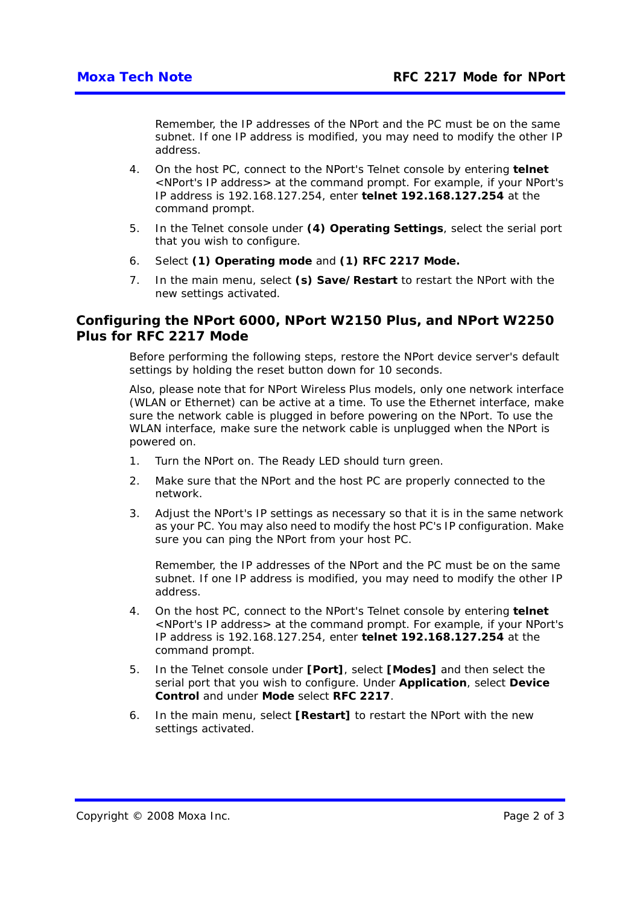Remember, the IP addresses of the NPort and the PC must be on the same subnet. If one IP address is modified, you may need to modify the other IP address.

- 4. On the host PC, connect to the NPort's Telnet console by entering **telnet**  <*NPort's IP address*> at the command prompt. For example, if your NPort's IP address is 192.168.127.254, enter **telnet 192.168.127.254** at the command prompt.
- 5. In the Telnet console under **(4) Operating Settings**, select the serial port that you wish to configure.
- 6. Select **(1) Operating mode** and **(1) RFC 2217 Mode.**
- 7. In the main menu, select **(s) Save/Restart** to restart the NPort with the new settings activated.

### *Configuring the NPort 6000, NPort W2150 Plus, and NPort W2250 Plus for RFC 2217 Mode*

Before performing the following steps, restore the NPort device server's default settings by holding the reset button down for 10 seconds.

Also, please note that for NPort Wireless Plus models, only one network interface (WLAN or Ethernet) can be active at a time. To use the Ethernet interface, make sure the network cable is plugged in before powering on the NPort. To use the WLAN interface, make sure the network cable is unplugged when the NPort is powered on.

- 1. Turn the NPort on. The Ready LED should turn green.
- 2. Make sure that the NPort and the host PC are properly connected to the network.
- 3. Adjust the NPort's IP settings as necessary so that it is in the same network as your PC. You may also need to modify the host PC's IP configuration. Make sure you can ping the NPort from your host PC.

Remember, the IP addresses of the NPort and the PC must be on the same subnet. If one IP address is modified, you may need to modify the other IP address.

- 4. On the host PC, connect to the NPort's Telnet console by entering **telnet**  <*NPort's IP address*> at the command prompt. For example, if your NPort's IP address is 192.168.127.254, enter **telnet 192.168.127.254** at the command prompt.
- 5. In the Telnet console under **[Port]**, select **[Modes]** and then select the serial port that you wish to configure. Under **Application**, select **Device Control** and under **Mode** select **RFC 2217**.
- 6. In the main menu, select **[Restart]** to restart the NPort with the new settings activated.